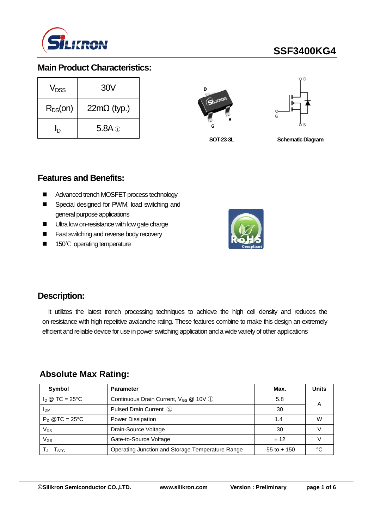

# **SSF3400KG4**

### **Main Product Characteristics:**

| V <sub>DSS</sub> | 30V                |  |  |  |
|------------------|--------------------|--|--|--|
| $R_{DS}(on)$     | $22m\Omega$ (typ.) |  |  |  |
| Iр               | $5.8A\odot$        |  |  |  |





**SOT-23-3L**

**Schematic Diagram**

#### **Features and Benefits:**

- Advanced trench MOSFET process technology
- Special designed for PWM, load switching and general purpose applications
- Ultra low on-resistance with low gate charge
- **Fast switching and reverse body recovery**
- 150℃ operating temperature



### **Description:**

It utilizes the latest trench processing techniques to achieve the high cell density and reduces the on-resistance with high repetitive avalanche rating. These features combine to make this design an extremely efficient and reliable device for use in power switching application and a wide variety of other applications

### **Absolute Max Rating:**

| Symbol                         | <b>Parameter</b>                                 | Max.            | <b>Units</b> |
|--------------------------------|--------------------------------------------------|-----------------|--------------|
| $I_D \otimes TC = 25^{\circ}C$ | Continuous Drain Current, $V_{GS}$ @ 10V (1)     | 5.8             | А            |
| <b>IDM</b>                     | Pulsed Drain Current 2                           | 30              |              |
| $P_D$ @TC = 25°C               | <b>Power Dissipation</b>                         | 1.4             | W            |
| Vps                            | Drain-Source Voltage                             | 30              |              |
| VGs                            | Gate-to-Source Voltage                           | ± 12            |              |
| l stg                          | Operating Junction and Storage Temperature Range | $-55$ to $+150$ | ∘∩           |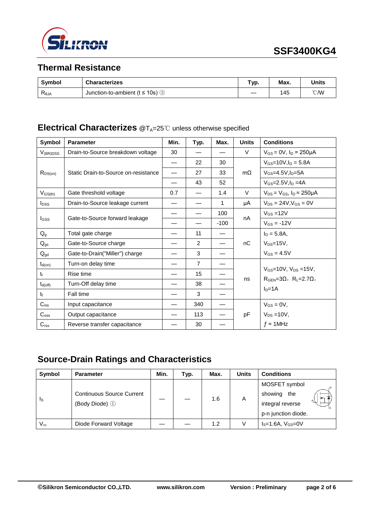

## **Thermal Resistance**

| <b>Symbol</b>  | <b>Characterizes</b>                               | "ур. | Max. | Units          |
|----------------|----------------------------------------------------|------|------|----------------|
| $R_{\theta$ JA | Junction-to-ambient ( $t \le 10$ s) $\circledcirc$ |      | 145  | $^{\circ}$ CMV |

## **Electrical Characterizes** @T<sub>A</sub>=25℃ unless otherwise specified

| Symbol                  | <b>Parameter</b>                     | Min. | Typ.           | Max.   | <b>Units</b> | <b>Conditions</b>                                                             |
|-------------------------|--------------------------------------|------|----------------|--------|--------------|-------------------------------------------------------------------------------|
| $V_{(BR)DSS}$           | Drain-to-Source breakdown voltage    | 30   |                |        | V            | $V_{GS} = 0V$ , $I_D = 250 \mu A$                                             |
|                         | Static Drain-to-Source on-resistance |      | 22             | 30     |              | $V_{GS}$ =10V, $I_D$ = 5.8A                                                   |
| $R_{DS(on)}$            |                                      |      | 27             | 33     | $m\Omega$    | $V$ <sub>GS</sub> =4.5V.I <sub>D</sub> =5A                                    |
|                         |                                      |      | 43             | 52     |              | $V_{GS} = 2.5 V, I_D = 4A$                                                    |
| $V_{GS(th)}$            | Gate threshold voltage               | 0.7  |                | 1.4    | V            | $V_{DS} = V_{GS}$ , $I_D = 250 \mu A$                                         |
| <b>I</b> <sub>DSS</sub> | Drain-to-Source leakage current      |      |                | 1      | μA           | $V_{DS} = 24V$ , $V_{GS} = 0V$                                                |
|                         |                                      |      |                | 100    | nA           | $V_{GS} = 12V$                                                                |
| Igss                    | Gate-to-Source forward leakage       |      |                | $-100$ |              | $V_{GS} = -12V$                                                               |
| $Q_{g}$                 | Total gate charge                    |      | 11             |        |              | $I_D = 5.8A,$<br>$V_{DS}=15V$ ,                                               |
| $Q_{gs}$                | Gate-to-Source charge                |      | 2              |        | nC           |                                                                               |
| $Q_{gd}$                | Gate-to-Drain("Miller") charge       |      | 3              |        |              | $V_{GS} = 4.5V$                                                               |
| $t_{d(on)}$             | Turn-on delay time                   |      | $\overline{7}$ |        |              | $V_{GS}$ =10V, $V_{DS}$ =15V,<br>$RGEN=3\Omega$ , $RL=2.7\Omega$ ,<br>$ID=1A$ |
| $t_{r}$                 | Rise time                            |      | 15             |        |              |                                                                               |
| $t_{d(off)}$            | Turn-Off delay time                  |      | 38             |        | ns           |                                                                               |
| t                       | Fall time                            |      | 3              |        |              |                                                                               |
| $C_{iss}$               | Input capacitance                    |      | 340            |        |              | $V_{GS} = 0V$ ,                                                               |
| $C_{\rm oss}$           | Output capacitance                   |      | 113            |        | pF           | $V_{DS} = 10V$ ,                                                              |
| $C_{\text{rss}}$        | Reverse transfer capacitance         |      | 30             |        |              | $f = 1$ MHz                                                                   |

## **Source-Drain Ratings and Characteristics**

| Symbol                  | <b>Parameter</b>                                   | Min. | Typ. | Max. | <b>Units</b> | <b>Conditions</b>   |
|-------------------------|----------------------------------------------------|------|------|------|--------------|---------------------|
| $\mathsf{I}_\mathsf{S}$ | <b>Continuous Source Current</b><br>(Body Diode) 1 |      |      | 1.6  | A            | MOSFET symbol       |
|                         |                                                    |      |      |      |              | showing<br>the      |
|                         |                                                    |      |      |      |              | integral reverse    |
|                         |                                                    |      |      |      |              | p-n junction diode. |
| $V_{SD}$                | Diode Forward Voltage                              |      |      | 1.2  | V            | $IS=1.6A, VGS=0V$   |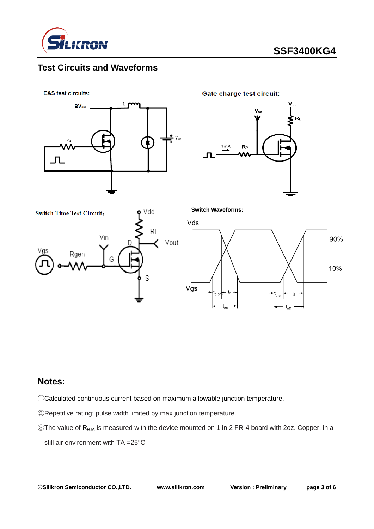

## **Test Circuits and Waveforms**

**EAS test circuits:** 



**Gate charge test circuit:** 

**Switch Waveforms:**







#### **Notes:**

①Calculated continuous current based on maximum allowable junction temperature.

②Repetitive rating; pulse width limited by max junction temperature.

③The value of RθJA is measured with the device mounted on 1 in 2 FR-4 board with 2oz. Copper, in a still air environment with TA =25°C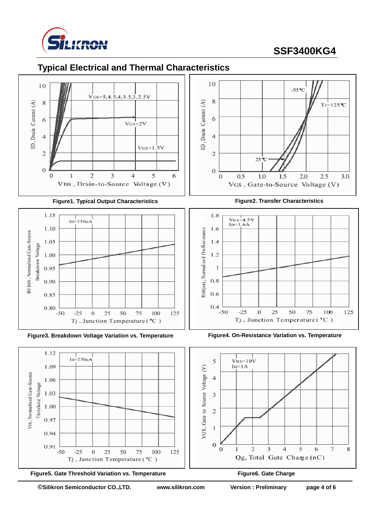

## **SSF3400KG4**

## **Typical Electrical and Thermal Characteristics**



#### **Figure1. Typical Output Characteristics Figure2. Transfer Characteristics**















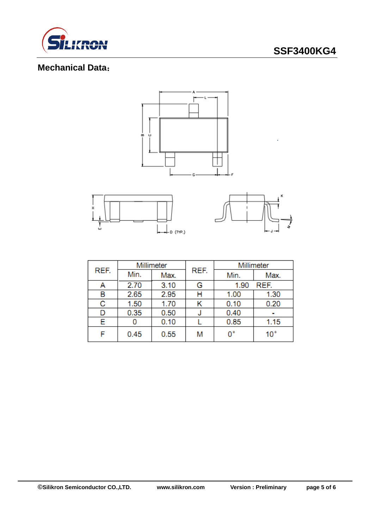

## **SSF3400KG4**

## **Mechanical Data**:





| REF. | Millimeter |      |      | Millimeter   |              |  |
|------|------------|------|------|--------------|--------------|--|
|      | Min.       | Max. | REF. | Min.         | Max.         |  |
| A    | 2.70       | 3.10 | G    | REF.<br>1.90 |              |  |
| в    | 2.65       | 2.95 | н    | 1.00         | 1.30         |  |
| с    | 1.50       | 1.70 | Κ    | 0.10         | 0.20         |  |
|      | 0.35       | 0.50 | J    | 0.40         |              |  |
| Е    |            | 0.10 |      | 0.85         | 1.15         |  |
|      | 0.45       | 0.55 | M    | 0°           | $10^{\circ}$ |  |